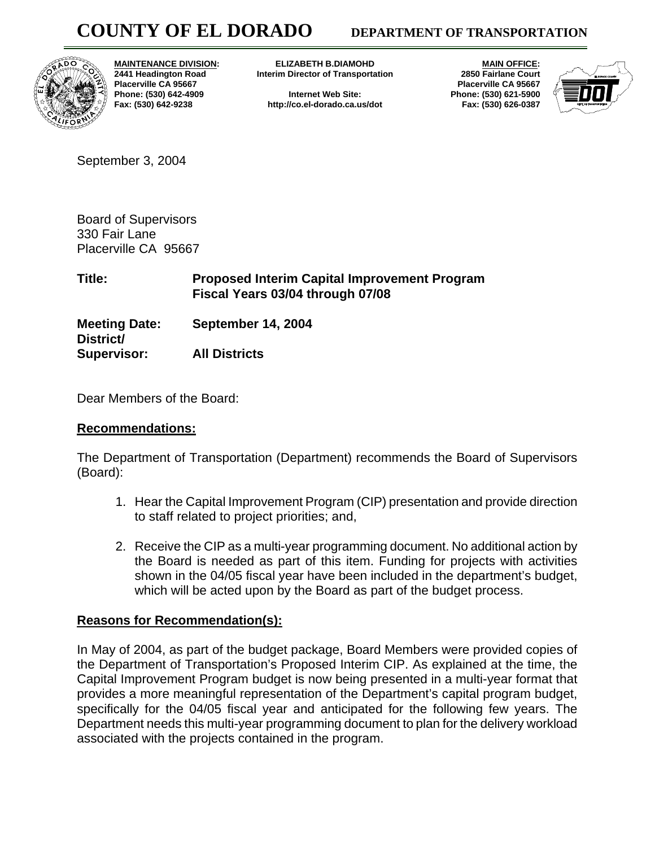

**MAINTENANCE DIVISION: 2441 Headington Road Placerville CA 95667 Phone: (530) 642-4909 Fax: (530) 642-9238** 

**ELIZABETH B.DIAMOHD Interim Director of Transportation** 

**Internet Web Site: http://co.el-dorado.ca.us/dot** 

 **MAIN OFFICE: 2850 Fairlane Court Placerville CA 95667 Phone: (530) 621-5900 Fax: (530) 626-0387** 



September 3, 2004

Board of Supervisors 330 Fair Lane Placerville CA 95667

**Title: Proposed Interim Capital Improvement Program Fiscal Years 03/04 through 07/08** 

**Meeting Date: September 14, 2004 District/** 

**Supervisor: All Districts** 

Dear Members of the Board:

## **Recommendations:**

The Department of Transportation (Department) recommends the Board of Supervisors (Board):

- 1. Hear the Capital Improvement Program (CIP) presentation and provide direction to staff related to project priorities; and,
- 2. Receive the CIP as a multi-year programming document. No additional action by the Board is needed as part of this item. Funding for projects with activities shown in the 04/05 fiscal year have been included in the department's budget, which will be acted upon by the Board as part of the budget process.

## **Reasons for Recommendation(s):**

In May of 2004, as part of the budget package, Board Members were provided copies of the Department of Transportation's Proposed Interim CIP. As explained at the time, the Capital Improvement Program budget is now being presented in a multi-year format that provides a more meaningful representation of the Department's capital program budget, specifically for the 04/05 fiscal year and anticipated for the following few years. The Department needs this multi-year programming document to plan for the delivery workload associated with the projects contained in the program.